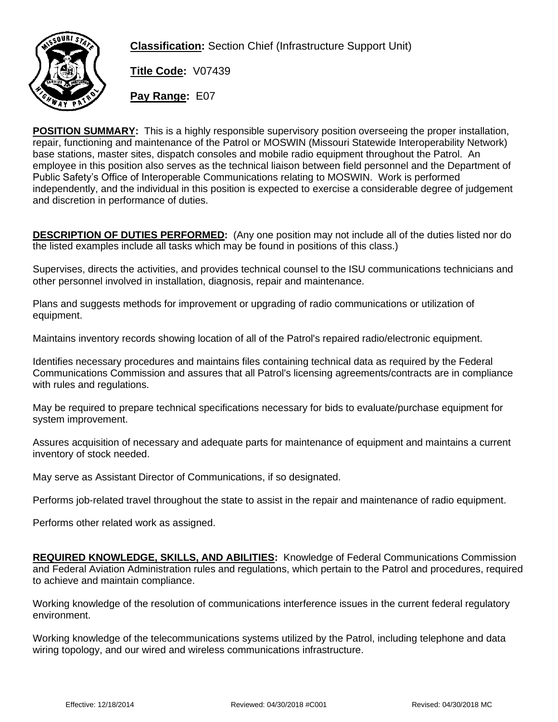

**Classification:** Section Chief (Infrastructure Support Unit)

**Title Code:** V07439

**Pay Range:** E07

**POSITION SUMMARY:** This is a highly responsible supervisory position overseeing the proper installation, repair, functioning and maintenance of the Patrol or MOSWIN (Missouri Statewide Interoperability Network) base stations, master sites, dispatch consoles and mobile radio equipment throughout the Patrol. An employee in this position also serves as the technical liaison between field personnel and the Department of Public Safety's Office of Interoperable Communications relating to MOSWIN. Work is performed independently, and the individual in this position is expected to exercise a considerable degree of judgement and discretion in performance of duties.

**DESCRIPTION OF DUTIES PERFORMED:** (Any one position may not include all of the duties listed nor do the listed examples include all tasks which may be found in positions of this class.)

Supervises, directs the activities, and provides technical counsel to the ISU communications technicians and other personnel involved in installation, diagnosis, repair and maintenance.

Plans and suggests methods for improvement or upgrading of radio communications or utilization of equipment.

Maintains inventory records showing location of all of the Patrol's repaired radio/electronic equipment.

Identifies necessary procedures and maintains files containing technical data as required by the Federal Communications Commission and assures that all Patrol's licensing agreements/contracts are in compliance with rules and regulations.

May be required to prepare technical specifications necessary for bids to evaluate/purchase equipment for system improvement.

Assures acquisition of necessary and adequate parts for maintenance of equipment and maintains a current inventory of stock needed.

May serve as Assistant Director of Communications, if so designated.

Performs job-related travel throughout the state to assist in the repair and maintenance of radio equipment.

Performs other related work as assigned.

**REQUIRED KNOWLEDGE, SKILLS, AND ABILITIES:** Knowledge of Federal Communications Commission and Federal Aviation Administration rules and regulations, which pertain to the Patrol and procedures, required to achieve and maintain compliance.

Working knowledge of the resolution of communications interference issues in the current federal regulatory environment.

Working knowledge of the telecommunications systems utilized by the Patrol, including telephone and data wiring topology, and our wired and wireless communications infrastructure.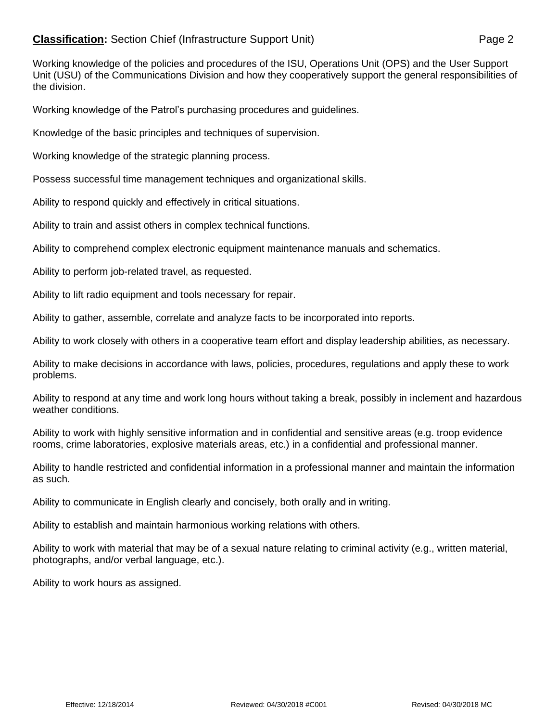## **Classification:** Section Chief (Infrastructure Support Unit) Page 2

Working knowledge of the policies and procedures of the ISU, Operations Unit (OPS) and the User Support Unit (USU) of the Communications Division and how they cooperatively support the general responsibilities of the division.

Working knowledge of the Patrol's purchasing procedures and guidelines.

Knowledge of the basic principles and techniques of supervision.

Working knowledge of the strategic planning process.

Possess successful time management techniques and organizational skills.

Ability to respond quickly and effectively in critical situations.

Ability to train and assist others in complex technical functions.

Ability to comprehend complex electronic equipment maintenance manuals and schematics.

Ability to perform job-related travel, as requested.

Ability to lift radio equipment and tools necessary for repair.

Ability to gather, assemble, correlate and analyze facts to be incorporated into reports.

Ability to work closely with others in a cooperative team effort and display leadership abilities, as necessary.

Ability to make decisions in accordance with laws, policies, procedures, regulations and apply these to work problems.

Ability to respond at any time and work long hours without taking a break, possibly in inclement and hazardous weather conditions.

Ability to work with highly sensitive information and in confidential and sensitive areas (e.g. troop evidence rooms, crime laboratories, explosive materials areas, etc.) in a confidential and professional manner.

Ability to handle restricted and confidential information in a professional manner and maintain the information as such.

Ability to communicate in English clearly and concisely, both orally and in writing.

Ability to establish and maintain harmonious working relations with others.

Ability to work with material that may be of a sexual nature relating to criminal activity (e.g., written material, photographs, and/or verbal language, etc.).

Ability to work hours as assigned.